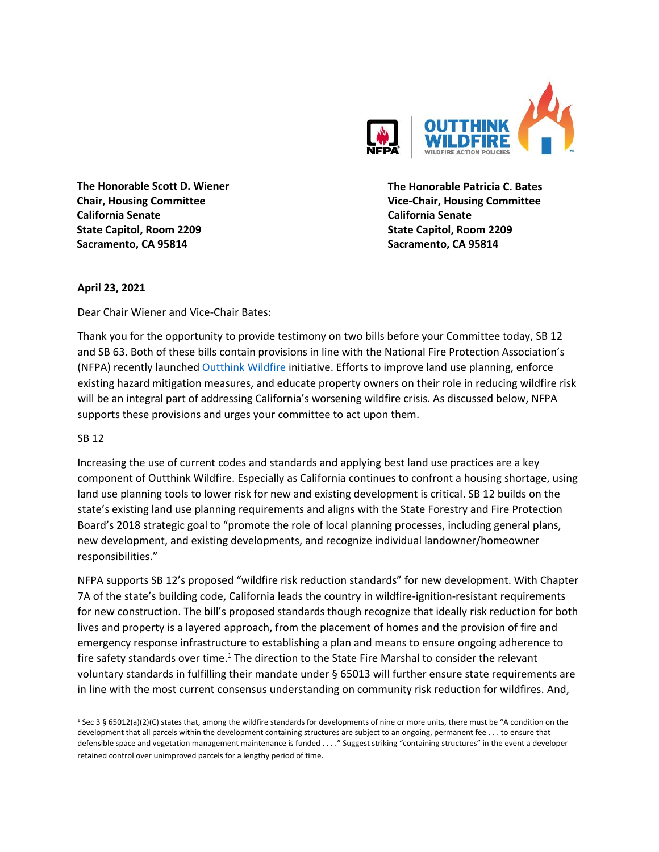

**The Honorable Scott D. Wiener Chair, Housing Committee California Senate State Capitol, Room 2209 Sacramento, CA 95814**

**The Honorable Patricia C. Bates Vice-Chair, Housing Committee California Senate State Capitol, Room 2209 Sacramento, CA 95814**

## **April 23, 2021**

Dear Chair Wiener and Vice-Chair Bates:

Thank you for the opportunity to provide testimony on two bills before your Committee today, SB 12 and SB 63. Both of these bills contain provisions in line with the National Fire Protection Association's (NFPA) recently launched [Outthink Wildfire](https://www.google.com/url?sa=t&rct=j&q=&esrc=s&source=web&cd=&cad=rja&uact=8&ved=2ahUKEwi_qfStu-nvAhWaGs0KHSqfAA8QFjABegQIAhAD&url=https%3A%2F%2Fwww.nfpa.org%2FAbout-NFPA%2FOutthink-Wildfire&usg=AOvVaw0EOtHB38OK2elTIAtgGWR5) initiative. Efforts to improve land use planning, enforce existing hazard mitigation measures, and educate property owners on their role in reducing wildfire risk will be an integral part of addressing California's worsening wildfire crisis. As discussed below, NFPA supports these provisions and urges your committee to act upon them.

## SB 12

Increasing the use of current codes and standards and applying best land use practices are a key component of Outthink Wildfire. Especially as California continues to confront a housing shortage, using land use planning tools to lower risk for new and existing development is critical. SB 12 builds on the state's existing land use planning requirements and aligns with the State Forestry and Fire Protection Board's 2018 strategic goal to "promote the role of local planning processes, including general plans, new development, and existing developments, and recognize individual landowner/homeowner responsibilities."

NFPA supports SB 12's proposed "wildfire risk reduction standards" for new development. With Chapter 7A of the state's building code, California leads the country in wildfire-ignition-resistant requirements for new construction. The bill's proposed standards though recognize that ideally risk reduction for both lives and property is a layered approach, from the placement of homes and the provision of fire and emergency response infrastructure to establishing a plan and means to ensure ongoing adherence to fire safety standards over time.<sup>1</sup> The direction to the State Fire Marshal to consider the relevant voluntary standards in fulfilling their mandate under § 65013 will further ensure state requirements are in line with the most current consensus understanding on community risk reduction for wildfires. And,

<sup>&</sup>lt;sup>1</sup> Sec 3 § 65012(a)(2)(C) states that, among the wildfire standards for developments of nine or more units, there must be "A condition on the development that all parcels within the development containing structures are subject to an ongoing, permanent fee . . . to ensure that defensible space and vegetation management maintenance is funded . . . ." Suggest striking "containing structures" in the event a developer retained control over unimproved parcels for a lengthy period of time.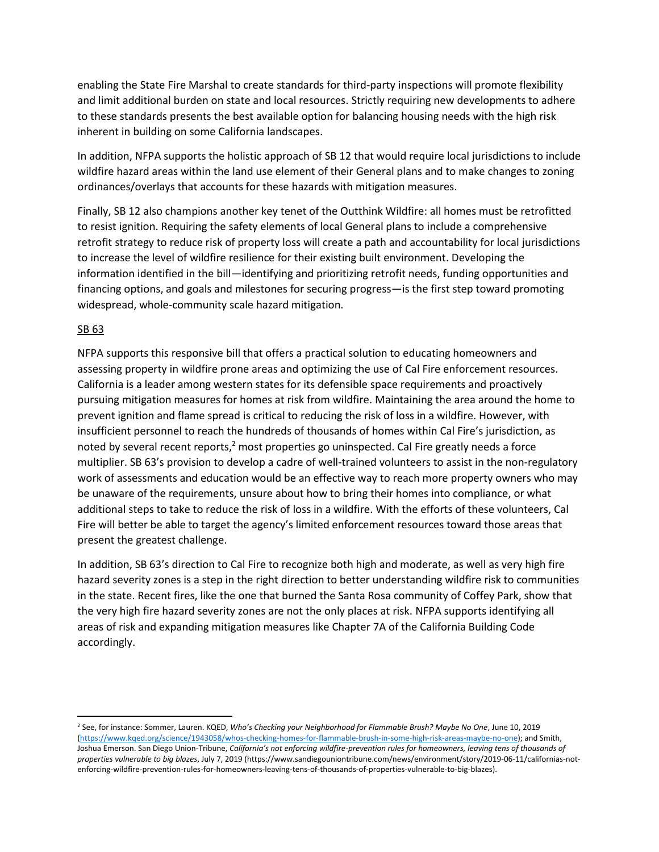enabling the State Fire Marshal to create standards for third-party inspections will promote flexibility and limit additional burden on state and local resources. Strictly requiring new developments to adhere to these standards presents the best available option for balancing housing needs with the high risk inherent in building on some California landscapes.

In addition, NFPA supports the holistic approach of SB 12 that would require local jurisdictions to include wildfire hazard areas within the land use element of their General plans and to make changes to zoning ordinances/overlays that accounts for these hazards with mitigation measures.

Finally, SB 12 also champions another key tenet of the Outthink Wildfire: all homes must be retrofitted to resist ignition. Requiring the safety elements of local General plans to include a comprehensive retrofit strategy to reduce risk of property loss will create a path and accountability for local jurisdictions to increase the level of wildfire resilience for their existing built environment. Developing the information identified in the bill—identifying and prioritizing retrofit needs, funding opportunities and financing options, and goals and milestones for securing progress—is the first step toward promoting widespread, whole-community scale hazard mitigation.

## SB 63

NFPA supports this responsive bill that offers a practical solution to educating homeowners and assessing property in wildfire prone areas and optimizing the use of Cal Fire enforcement resources. California is a leader among western states for its defensible space requirements and proactively pursuing mitigation measures for homes at risk from wildfire. Maintaining the area around the home to prevent ignition and flame spread is critical to reducing the risk of loss in a wildfire. However, with insufficient personnel to reach the hundreds of thousands of homes within Cal Fire's jurisdiction, as noted by several recent reports,<sup>2</sup> most properties go uninspected. Cal Fire greatly needs a force multiplier. SB 63's provision to develop a cadre of well-trained volunteers to assist in the non-regulatory work of assessments and education would be an effective way to reach more property owners who may be unaware of the requirements, unsure about how to bring their homes into compliance, or what additional steps to take to reduce the risk of loss in a wildfire. With the efforts of these volunteers, Cal Fire will better be able to target the agency's limited enforcement resources toward those areas that present the greatest challenge.

In addition, SB 63's direction to Cal Fire to recognize both high and moderate, as well as very high fire hazard severity zones is a step in the right direction to better understanding wildfire risk to communities in the state. Recent fires, like the one that burned the Santa Rosa community of Coffey Park, show that the very high fire hazard severity zones are not the only places at risk. NFPA supports identifying all areas of risk and expanding mitigation measures like Chapter 7A of the California Building Code accordingly.

<sup>2</sup> See, for instance: Sommer, Lauren. KQED, *Who's Checking your Neighborhood for Flammable Brush? Maybe No One*, June 10, 2019 [\(https://www.kqed.org/science/1943058/whos-checking-homes-for-flammable-brush-in-some-high-risk-areas-maybe-no-one\)](https://www.kqed.org/science/1943058/whos-checking-homes-for-flammable-brush-in-some-high-risk-areas-maybe-no-one); and Smith, Joshua Emerson. San Diego Union-Tribune, *California's not enforcing wildfire-prevention rules for homeowners, leaving tens of thousands of properties vulnerable to big blazes*, July 7, 2019 (https://www.sandiegouniontribune.com/news/environment/story/2019-06-11/californias-notenforcing-wildfire-prevention-rules-for-homeowners-leaving-tens-of-thousands-of-properties-vulnerable-to-big-blazes).